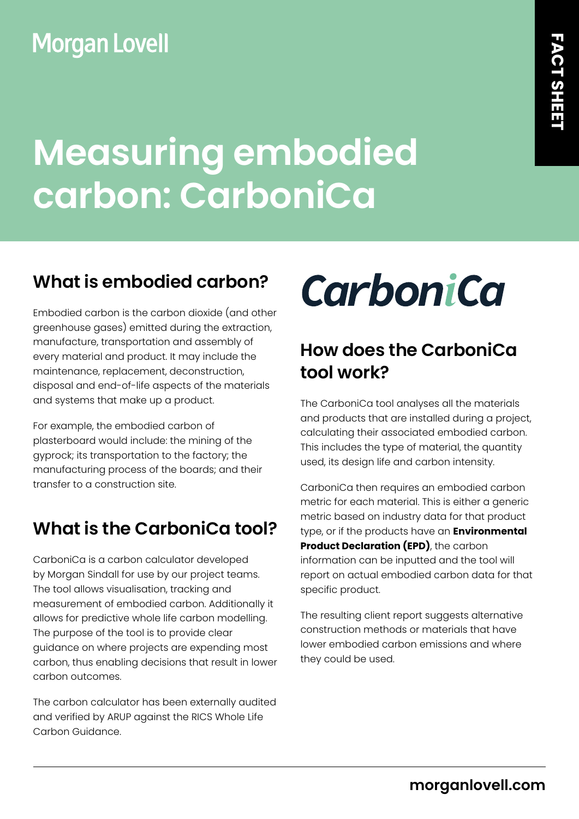## **Morgan Lovell**

# **Measuring embodied carbon: CarboniCa**

#### **What is embodied carbon?**

Embodied carbon is the carbon dioxide (and other greenhouse gases) emitted during the extraction, manufacture, transportation and assembly of every material and product. It may include the maintenance, replacement, deconstruction, disposal and end-of-life aspects of the materials and systems that make up a product.

For example, the embodied carbon of plasterboard would include: the mining of the gyprock; its transportation to the factory; the manufacturing process of the boards; and their transfer to a construction site.

### **What is the CarboniCa tool?**

CarboniCa is a carbon calculator developed by Morgan Sindall for use by our project teams. The tool allows visualisation, tracking and measurement of embodied carbon. Additionally it allows for predictive whole life carbon modelling. The purpose of the tool is to provide clear guidance on where projects are expending most carbon, thus enabling decisions that result in lower carbon outcomes.

The carbon calculator has been externally audited and verified by ARUP against the RICS Whole Life Carbon Guidance.



### **How does the CarboniCa tool work?**

The CarboniCa tool analyses all the materials and products that are installed during a project, calculating their associated embodied carbon. This includes the type of material, the quantity used, its design life and carbon intensity.

CarboniCa then requires an embodied carbon metric for each material. This is either a generic metric based on industry data for that product type, or if the products have an **Environmental Product Declaration (EPD)**, the carbon information can be inputted and the tool will report on actual embodied carbon data for that specific product.

The resulting client report suggests alternative construction methods or materials that have lower embodied carbon emissions and where they could be used.